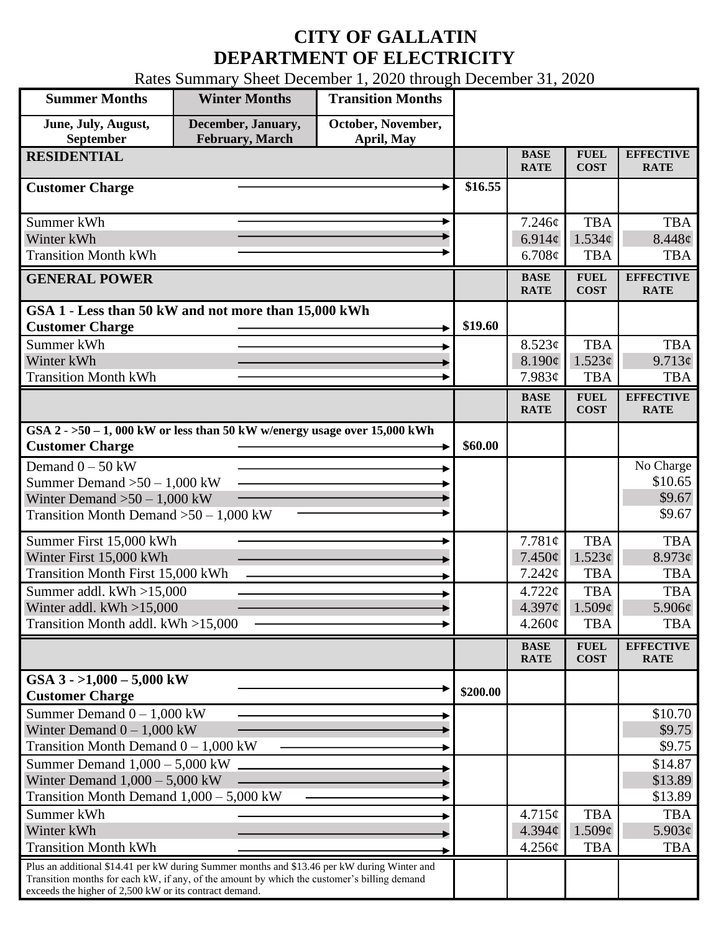## **CITY OF GALLATIN DEPARTMENT OF ELECTRICITY**

Rates Summary Sheet December 1, 2020 through December 31, 2020

| <b>Summer Months</b>                                                                                                                                                                       | <b>Winter Months</b>                         | <b>Transition Months</b>         |          |                            |                            |                                 |
|--------------------------------------------------------------------------------------------------------------------------------------------------------------------------------------------|----------------------------------------------|----------------------------------|----------|----------------------------|----------------------------|---------------------------------|
| June, July, August,<br>September                                                                                                                                                           | December, January,<br><b>February, March</b> | October, November,<br>April, May |          |                            |                            |                                 |
| <b>RESIDENTIAL</b>                                                                                                                                                                         |                                              |                                  |          | <b>BASE</b><br><b>RATE</b> | <b>FUEL</b><br><b>COST</b> | <b>EFFECTIVE</b><br><b>RATE</b> |
| <b>Customer Charge</b>                                                                                                                                                                     |                                              |                                  | \$16.55  |                            |                            |                                 |
| Summer kWh                                                                                                                                                                                 |                                              |                                  |          | 7.246c                     | <b>TBA</b>                 | <b>TBA</b>                      |
| Winter kWh                                                                                                                                                                                 |                                              |                                  |          | 6.914 $\phi$               | $1.534\ell$                | $8.448\phi$                     |
| <b>Transition Month kWh</b>                                                                                                                                                                |                                              |                                  |          | 6.708¢                     | <b>TBA</b>                 | <b>TBA</b>                      |
| <b>GENERAL POWER</b>                                                                                                                                                                       |                                              |                                  |          | <b>BASE</b><br><b>RATE</b> | <b>FUEL</b><br><b>COST</b> | <b>EFFECTIVE</b><br><b>RATE</b> |
| GSA 1 - Less than 50 kW and not more than 15,000 kWh                                                                                                                                       |                                              |                                  |          |                            |                            |                                 |
| <b>Customer Charge</b>                                                                                                                                                                     |                                              |                                  | \$19.60  |                            |                            |                                 |
| Summer kWh                                                                                                                                                                                 |                                              |                                  |          | 8.523¢                     | <b>TBA</b>                 | <b>TBA</b>                      |
| Winter kWh                                                                                                                                                                                 |                                              |                                  |          | 8.190¢                     | 1.523¢                     | 9.713¢                          |
| <b>Transition Month kWh</b>                                                                                                                                                                |                                              |                                  |          | 7.983¢                     | <b>TBA</b>                 | <b>TBA</b>                      |
|                                                                                                                                                                                            |                                              |                                  |          | <b>BASE</b><br><b>RATE</b> | <b>FUEL</b><br><b>COST</b> | <b>EFFECTIVE</b><br><b>RATE</b> |
| GSA $2 - 50 - 1$ , 000 kW or less than 50 kW w/energy usage over 15,000 kWh<br><b>Customer Charge</b>                                                                                      |                                              |                                  | \$60.00  |                            |                            |                                 |
| Demand $0 - 50$ kW                                                                                                                                                                         |                                              |                                  |          |                            |                            | No Charge                       |
| Summer Demand $>50 - 1,000$ kW                                                                                                                                                             |                                              |                                  |          |                            |                            | \$10.65                         |
| Winter Demand $>50-1,000$ kW                                                                                                                                                               |                                              |                                  |          |                            |                            | \$9.67                          |
| Transition Month Demand $>50-1,000$ kW                                                                                                                                                     |                                              |                                  |          |                            |                            | \$9.67                          |
| Summer First 15,000 kWh                                                                                                                                                                    |                                              |                                  |          | 7.781¢                     | <b>TBA</b>                 | <b>TBA</b>                      |
| Winter First 15,000 kWh                                                                                                                                                                    |                                              |                                  |          | $7.450\phi$                | 1.523¢                     | 8.973¢                          |
| <b>Transition Month First 15,000 kWh</b>                                                                                                                                                   |                                              |                                  |          | 7.242¢                     | <b>TBA</b>                 | <b>TBA</b>                      |
| Summer addl. kWh >15,000                                                                                                                                                                   |                                              |                                  |          | 4.722¢                     | <b>TBA</b>                 | <b>TBA</b>                      |
| Winter addl. $kWh > 15,000$                                                                                                                                                                |                                              |                                  |          | 4.397¢                     | 1.509¢                     | 5.906¢                          |
| Transition Month addl. kWh >15,000                                                                                                                                                         |                                              |                                  |          | $4.260\phi$                | <b>TBA</b>                 | <b>TBA</b>                      |
|                                                                                                                                                                                            |                                              |                                  |          | <b>BASE</b><br><b>RATE</b> | <b>FUEL</b><br><b>COST</b> | <b>EFFECTIVE</b><br><b>RATE</b> |
| GSA $3 - 1,000 - 5,000$ kW<br><b>Customer Charge</b>                                                                                                                                       |                                              |                                  | \$200.00 |                            |                            |                                 |
| Summer Demand $0 - 1,000$ kW                                                                                                                                                               |                                              |                                  |          |                            |                            | \$10.70                         |
| Winter Demand $0 - 1,000$ kW                                                                                                                                                               |                                              |                                  |          |                            |                            | \$9.75                          |
| Transition Month Demand $0 - 1,000$ kW                                                                                                                                                     |                                              |                                  |          |                            |                            | \$9.75                          |
| Summer Demand $1,000 - 5,000$ kW                                                                                                                                                           |                                              |                                  |          |                            |                            | \$14.87                         |
| Winter Demand $1,000 - 5,000$ kW                                                                                                                                                           |                                              |                                  |          |                            |                            | \$13.89                         |
| Transition Month Demand $1,000 - 5,000$ kW                                                                                                                                                 |                                              |                                  |          |                            |                            | \$13.89                         |
| Summer kWh                                                                                                                                                                                 |                                              |                                  |          | 4.715¢                     | <b>TBA</b>                 | <b>TBA</b>                      |
| Winter kWh                                                                                                                                                                                 |                                              |                                  |          | 4.394¢                     | 1.509¢                     | $5.903\phi$                     |
| <b>Transition Month kWh</b>                                                                                                                                                                |                                              |                                  |          | 4.256¢                     | <b>TBA</b>                 | <b>TBA</b>                      |
| Plus an additional \$14.41 per kW during Summer months and \$13.46 per kW during Winter and<br>Transition months for each kW, if any, of the amount by which the customer's billing demand |                                              |                                  |          |                            |                            |                                 |
| exceeds the higher of 2,500 kW or its contract demand.                                                                                                                                     |                                              |                                  |          |                            |                            |                                 |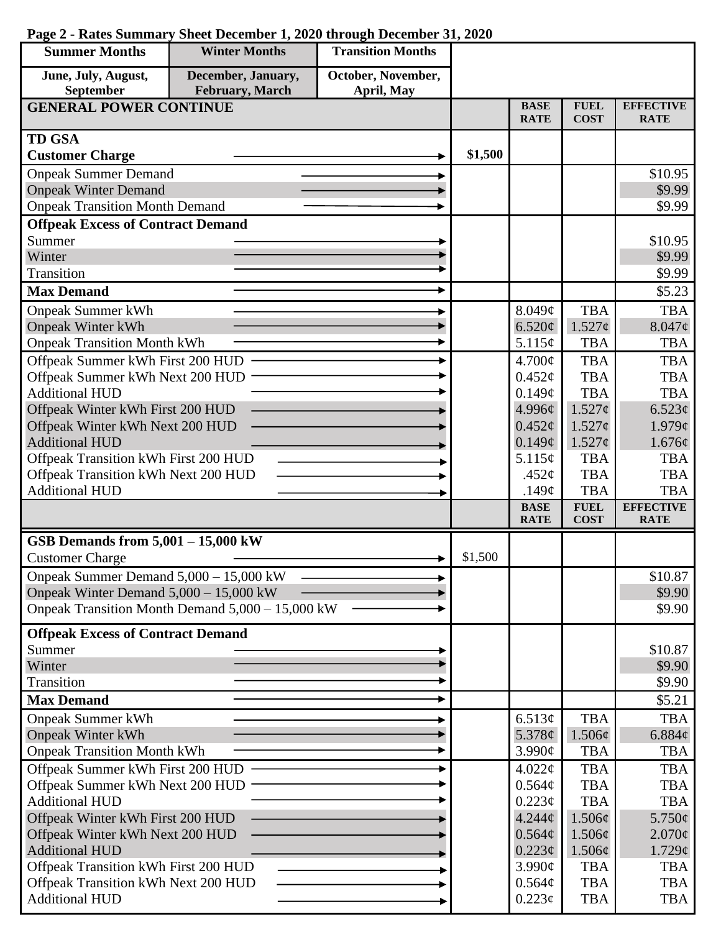| <b>Summer Months</b>                     | <b>Winter Months</b>                             | <b>Transition Months</b> |         |                            |                            |                                 |
|------------------------------------------|--------------------------------------------------|--------------------------|---------|----------------------------|----------------------------|---------------------------------|
| June, July, August,                      | December, January,                               | October, November,       |         |                            |                            |                                 |
| September                                | February, March                                  | April, May               |         |                            |                            |                                 |
| <b>GENERAL POWER CONTINUE</b>            |                                                  |                          |         | <b>BASE</b><br><b>RATE</b> | <b>FUEL</b><br><b>COST</b> | <b>EFFECTIVE</b><br><b>RATE</b> |
| <b>TD GSA</b>                            |                                                  |                          |         |                            |                            |                                 |
| <b>Customer Charge</b>                   |                                                  |                          | \$1,500 |                            |                            |                                 |
| <b>Onpeak Summer Demand</b>              |                                                  |                          |         |                            |                            | \$10.95                         |
| <b>Onpeak Winter Demand</b>              |                                                  |                          |         |                            |                            | \$9.99                          |
| <b>Onpeak Transition Month Demand</b>    |                                                  |                          |         |                            |                            | \$9.99                          |
| <b>Offpeak Excess of Contract Demand</b> |                                                  |                          |         |                            |                            |                                 |
| Summer                                   |                                                  |                          |         |                            |                            | \$10.95                         |
| Winter                                   |                                                  |                          |         |                            |                            | \$9.99                          |
| Transition                               |                                                  |                          |         |                            |                            | \$9.99                          |
| <b>Max Demand</b>                        |                                                  |                          |         |                            |                            | \$5.23                          |
| <b>Onpeak Summer kWh</b>                 |                                                  |                          |         | 8.049¢                     | <b>TBA</b>                 | <b>TBA</b>                      |
| <b>Onpeak Winter kWh</b>                 |                                                  |                          |         | 6.520¢                     | $1.527\phi$                | $8.047\phi$                     |
| <b>Onpeak Transition Month kWh</b>       |                                                  |                          |         | 5.115¢                     | <b>TBA</b>                 | <b>TBA</b>                      |
| Offpeak Summer kWh First 200 HUD         |                                                  |                          |         | $4.700\text{¢}$            | <b>TBA</b>                 | <b>TBA</b>                      |
| Offpeak Summer kWh Next 200 HUD          |                                                  |                          |         | $0.452\varphi$             | <b>TBA</b>                 | <b>TBA</b>                      |
| <b>Additional HUD</b>                    |                                                  |                          |         | 0.149¢                     | <b>TBA</b>                 | <b>TBA</b>                      |
| Offpeak Winter kWh First 200 HUD         |                                                  |                          |         | 4.996¢                     | $1.527\sigma$              | 6.523¢                          |
| Offpeak Winter kWh Next 200 HUD          |                                                  |                          |         | $0.452\epsilon$            | $1.527\phi$                | 1.979¢                          |
| <b>Additional HUD</b>                    |                                                  |                          |         | 0.149¢                     | $1.527\phi$                | 1.676¢                          |
| Offpeak Transition kWh First 200 HUD     |                                                  |                          |         | 5.115¢                     | <b>TBA</b>                 | <b>TBA</b>                      |
| Offpeak Transition kWh Next 200 HUD      |                                                  |                          |         | .452 $\phi$                | <b>TBA</b>                 | <b>TBA</b>                      |
| <b>Additional HUD</b>                    |                                                  |                          |         | .149 $\phi$                | <b>TBA</b>                 | <b>TBA</b>                      |
|                                          |                                                  |                          |         | <b>BASE</b><br><b>RATE</b> | <b>FUEL</b><br><b>COST</b> | <b>EFFECTIVE</b><br><b>RATE</b> |
| GSB Demands from $5,001 - 15,000$ kW     |                                                  |                          |         |                            |                            |                                 |
| <b>Customer Charge</b>                   |                                                  |                          | \$1,500 |                            |                            |                                 |
| Onpeak Summer Demand $5,000 - 15,000$ kW |                                                  |                          |         |                            |                            | \$10.87                         |
| Onpeak Winter Demand $5,000 - 15,000$ kW |                                                  |                          |         |                            |                            | \$9.90                          |
|                                          | Onpeak Transition Month Demand 5,000 - 15,000 kW |                          |         |                            |                            | \$9.90                          |
| <b>Offpeak Excess of Contract Demand</b> |                                                  |                          |         |                            |                            |                                 |
| Summer                                   |                                                  |                          |         |                            |                            | \$10.87                         |
| Winter                                   |                                                  |                          |         |                            |                            | \$9.90                          |
| Transition                               |                                                  |                          |         |                            |                            | \$9.90                          |
| <b>Max Demand</b>                        |                                                  |                          |         |                            |                            | \$5.21                          |
| <b>Onpeak Summer kWh</b>                 |                                                  |                          |         | 6.513¢                     | <b>TBA</b>                 | <b>TBA</b>                      |
| <b>Onpeak Winter kWh</b>                 |                                                  |                          |         | 5.378 $\phi$               | $1.506\phi$                | 6.884¢                          |
| <b>Onpeak Transition Month kWh</b>       |                                                  |                          |         | 3.990¢                     | <b>TBA</b>                 | TBA                             |
| Offpeak Summer kWh First 200 HUD         |                                                  |                          |         | $4.022\phi$                | <b>TBA</b>                 | <b>TBA</b>                      |
| Offpeak Summer kWh Next 200 HUD          |                                                  |                          |         | 0.564¢                     | <b>TBA</b>                 | <b>TBA</b>                      |
| <b>Additional HUD</b>                    |                                                  |                          |         | 0.223¢                     | <b>TBA</b>                 | <b>TBA</b>                      |
| Offpeak Winter kWh First 200 HUD         |                                                  |                          |         | $4.244\phi$                | $1.506\phi$                | $5.750\epsilon$                 |
| Offpeak Winter kWh Next 200 HUD          |                                                  |                          |         | 0.564¢                     | $1.506\phi$                | $2.070\phi$                     |
| <b>Additional HUD</b>                    |                                                  |                          |         | $0.223\phi$                | $1.506\phi$                | 1.729¢                          |
| Offpeak Transition kWh First 200 HUD     |                                                  |                          |         | $3.990\text{¢}$            | <b>TBA</b>                 | <b>TBA</b>                      |
| Offpeak Transition kWh Next 200 HUD      |                                                  |                          |         | $0.564\phi$                | <b>TBA</b>                 | <b>TBA</b>                      |
| <b>Additional HUD</b>                    |                                                  |                          |         | $0.223\phi$                | <b>TBA</b>                 | <b>TBA</b>                      |

## **Page 2 - Rates Summary Sheet December 1, 2020 through December 31, 2020**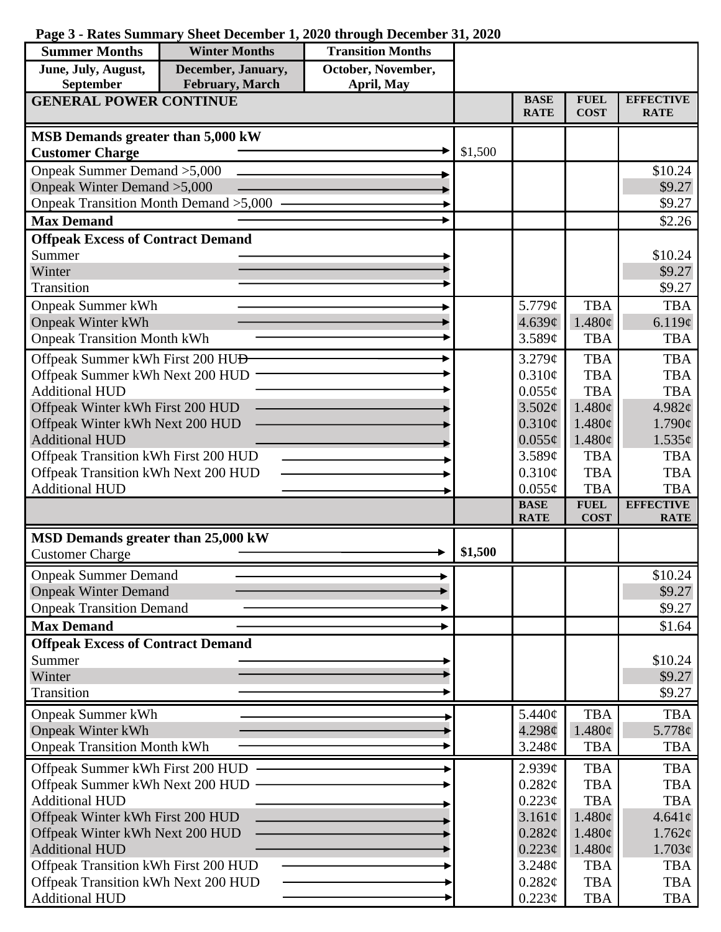## **Page 3 - Rates Summary Sheet December 1, 2020 through December 31, 2020**

| <b>Summer Months</b>                                                        | <b>Winter Months</b> | <b>Transition Months</b> |         |                            |                            |                                 |
|-----------------------------------------------------------------------------|----------------------|--------------------------|---------|----------------------------|----------------------------|---------------------------------|
| June, July, August,                                                         | December, January,   | October, November,       |         |                            |                            |                                 |
| September                                                                   | February, March      | April, May               |         |                            |                            |                                 |
| <b>GENERAL POWER CONTINUE</b>                                               |                      |                          |         | <b>BASE</b><br><b>RATE</b> | <b>FUEL</b><br><b>COST</b> | <b>EFFECTIVE</b><br><b>RATE</b> |
| MSB Demands greater than 5,000 kW                                           |                      |                          |         |                            |                            |                                 |
| <b>Customer Charge</b>                                                      |                      |                          | \$1,500 |                            |                            |                                 |
| Onpeak Summer Demand > 5,000                                                |                      |                          |         |                            |                            | \$10.24                         |
| Onpeak Winter Demand > 5,000                                                |                      |                          |         |                            |                            | \$9.27                          |
| Onpeak Transition Month Demand > 5,000                                      |                      |                          |         |                            |                            | \$9.27                          |
| <b>Max Demand</b>                                                           |                      |                          |         |                            |                            | \$2.26                          |
| <b>Offpeak Excess of Contract Demand</b>                                    |                      |                          |         |                            |                            |                                 |
| Summer                                                                      |                      |                          |         |                            |                            | \$10.24                         |
| Winter                                                                      |                      |                          |         |                            |                            | \$9.27                          |
| Transition                                                                  |                      |                          |         |                            |                            | \$9.27                          |
| <b>Onpeak Summer kWh</b>                                                    |                      |                          |         | 5.779¢                     | <b>TBA</b>                 | <b>TBA</b>                      |
| <b>Onpeak Winter kWh</b>                                                    |                      |                          |         | 4.639¢                     | 1.480¢                     | 6.119¢                          |
| <b>Onpeak Transition Month kWh</b>                                          |                      |                          |         | 3.589¢                     | <b>TBA</b>                 | <b>TBA</b>                      |
| Offpeak Summer kWh First 200 HU <del>D</del>                                |                      |                          |         | 3.279¢                     | <b>TBA</b>                 | <b>TBA</b>                      |
| Offpeak Summer kWh Next 200 HUD                                             |                      |                          |         | 0.310¢                     | <b>TBA</b>                 | <b>TBA</b>                      |
| <b>Additional HUD</b>                                                       |                      |                          |         | $0.055\phi$                | <b>TBA</b>                 | <b>TBA</b>                      |
| Offpeak Winter kWh First 200 HUD                                            |                      |                          |         | 3.502¢                     | 1.480¢                     | 4.982 $\phi$                    |
| Offpeak Winter kWh Next 200 HUD<br><b>Additional HUD</b>                    |                      |                          |         | $0.310\phi$<br>$0.055\phi$ | 1.480¢<br>1.480¢           | $1.790\epsilon$                 |
| Offpeak Transition kWh First 200 HUD                                        |                      |                          |         | 3.589¢                     | <b>TBA</b>                 | $1.535\epsilon$<br><b>TBA</b>   |
| Offpeak Transition kWh Next 200 HUD                                         |                      |                          |         | 0.310¢                     | <b>TBA</b>                 | <b>TBA</b>                      |
| <b>Additional HUD</b>                                                       |                      |                          |         | $0.055\phi$                | <b>TBA</b>                 | <b>TBA</b>                      |
|                                                                             |                      |                          |         | <b>BASE</b>                | <b>FUEL</b>                | <b>EFFECTIVE</b>                |
|                                                                             |                      |                          |         | <b>RATE</b>                | <b>COST</b>                | <b>RATE</b>                     |
| MSD Demands greater than 25,000 kW                                          |                      |                          |         |                            |                            |                                 |
| <b>Customer Charge</b>                                                      |                      |                          | \$1,500 |                            |                            |                                 |
| <b>Onpeak Summer Demand</b>                                                 |                      |                          |         |                            |                            | \$10.24                         |
| <b>Onpeak Winter Demand</b>                                                 |                      |                          |         |                            |                            | \$9.27                          |
| <b>Onpeak Transition Demand</b>                                             |                      |                          |         |                            |                            | \$9.27                          |
| <b>Max Demand</b>                                                           |                      |                          |         |                            |                            | \$1.64                          |
| <b>Offpeak Excess of Contract Demand</b>                                    |                      |                          |         |                            |                            |                                 |
| Summer                                                                      |                      |                          |         |                            |                            | \$10.24                         |
| Winter                                                                      |                      |                          |         |                            |                            | \$9.27                          |
| Transition                                                                  |                      |                          |         |                            |                            | \$9.27                          |
| <b>Onpeak Summer kWh</b>                                                    |                      |                          |         | 5.440¢                     | <b>TBA</b>                 | <b>TBA</b>                      |
| <b>Onpeak Winter kWh</b>                                                    |                      |                          |         | 4.298¢                     | 1.480¢                     | 5.778¢                          |
| <b>Onpeak Transition Month kWh</b>                                          |                      |                          |         | 3.248¢                     | <b>TBA</b>                 | <b>TBA</b>                      |
| Offpeak Summer kWh First 200 HUD                                            |                      |                          |         | 2.939¢                     | <b>TBA</b>                 | <b>TBA</b>                      |
| Offpeak Summer kWh Next 200 HUD                                             |                      |                          |         | 0.282¢                     | <b>TBA</b>                 | <b>TBA</b>                      |
| <b>Additional HUD</b>                                                       |                      |                          |         | $0.223\phi$                | <b>TBA</b>                 | <b>TBA</b>                      |
| Offpeak Winter kWh First 200 HUD                                            |                      |                          |         | 3.161¢                     | 1.480¢                     | $4.641\ell$                     |
| Offpeak Winter kWh Next 200 HUD                                             |                      |                          |         | 0.282¢                     | 1.480¢                     | $1.762\varphi$                  |
| <b>Additional HUD</b>                                                       |                      |                          |         | 0.223¢                     | $1.480\phi$                | $1.703\epsilon$                 |
| Offpeak Transition kWh First 200 HUD<br>Offpeak Transition kWh Next 200 HUD |                      |                          |         | 3.248¢                     | <b>TBA</b>                 | <b>TBA</b>                      |
| <b>Additional HUD</b>                                                       |                      |                          |         | 0.282¢<br>0.223¢           | <b>TBA</b><br><b>TBA</b>   | TBA<br><b>TBA</b>               |
|                                                                             |                      |                          |         |                            |                            |                                 |